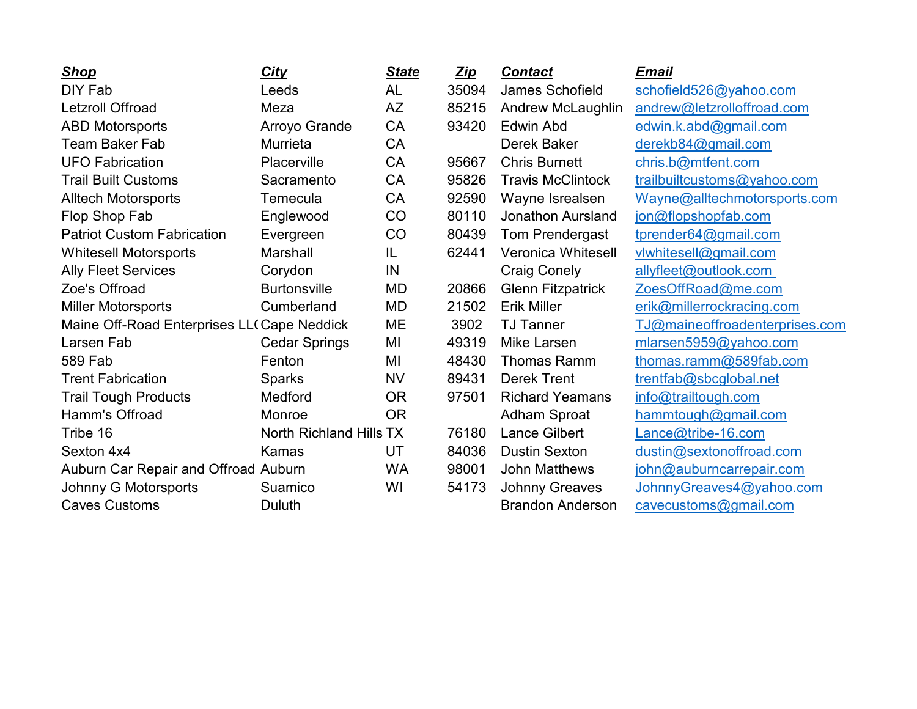| <b>Shop</b>                                | <b>City</b>                    | <b>State</b> | <u>Zip</u>       | <b>Contact</b>                 | <b>Email</b>                 |
|--------------------------------------------|--------------------------------|--------------|------------------|--------------------------------|------------------------------|
| DIY Fab                                    | Leeds                          | <b>AL</b>    | 35094            | James Schofield                | schofield526@yahoo.com       |
| <b>Letzroll Offroad</b>                    | Meza                           | <b>AZ</b>    | 85215            | Andrew McLaughlin              | andrew@letzrolloffroad.com   |
| <b>ABD Motorsports</b>                     | Arroyo Grande                  | <b>CA</b>    | 93420            | <b>Edwin Abd</b>               | edwin.k.abd@gmail.com        |
| <b>Team Baker Fab</b>                      | Murrieta                       | <b>CA</b>    |                  | Derek Baker                    | derekb84@gmail.com           |
| <b>UFO Fabrication</b>                     | Placerville                    | <b>CA</b>    | 95667            | <b>Chris Burnett</b>           | chris.b@mtfent.com           |
| <b>Trail Built Customs</b>                 | Sacramento                     | CA           | 95826            | <b>Travis McClintock</b>       | trailbuiltcustoms@yahoo.com  |
| <b>Alltech Motorsports</b>                 | Temecula                       | CA           | 92590            | Wayne Isrealsen                | Wayne@alltechmotorsports.com |
| Flop Shop Fab                              | Englewood                      | CO           | 80110            | <b>Jonathon Aursland</b>       | jon@flopshopfab.com          |
| <b>Patriot Custom Fabrication</b>          | Evergreen                      | CO           | 80439            | Tom Prendergast                | tprender64@gmail.com         |
| <b>Whitesell Motorsports</b>               | Marshall                       | IL           | 62441            | <b>Veronica Whitesell</b>      | vlwhitesell@gmail.com        |
| <b>Ally Fleet Services</b>                 | Corydon                        | IN           |                  | <b>Craig Conely</b>            | allyfleet@outlook.com        |
| Zoe's Offroad                              | <b>Burtonsville</b>            | MD           | 20866            | <b>Glenn Fitzpatrick</b>       | ZoesOffRoad@me.com           |
| <b>Miller Motorsports</b>                  | Cumberland                     | MD           | 21502            | <b>Erik Miller</b>             | erik@millerrockracing.com    |
| Maine Off-Road Enterprises LL(Cape Neddick | ME                             | 3902         | <b>TJ Tanner</b> | TJ@maineoffroadenterprises.com |                              |
| Larsen Fab                                 | <b>Cedar Springs</b>           | MI           | 49319            | <b>Mike Larsen</b>             | mlarsen5959@yahoo.com        |
| 589 Fab                                    | Fenton                         | MI           | 48430            | <b>Thomas Ramm</b>             | thomas.ramm@589fab.com       |
| <b>Trent Fabrication</b>                   | <b>Sparks</b>                  | <b>NV</b>    | 89431            | <b>Derek Trent</b>             | trentfab@sbcglobal.net       |
| <b>Trail Tough Products</b>                | Medford                        | <b>OR</b>    | 97501            | <b>Richard Yeamans</b>         | info@trailtough.com          |
| Hamm's Offroad                             | Monroe                         | <b>OR</b>    |                  | <b>Adham Sproat</b>            | hammtough@gmail.com          |
| Tribe 16                                   | <b>North Richland Hills TX</b> |              | 76180            | <b>Lance Gilbert</b>           | Lance@tribe-16.com           |
| Sexton 4x4                                 | Kamas                          | UT           | 84036            | <b>Dustin Sexton</b>           | dustin@sextonoffroad.com     |
| Auburn Car Repair and Offroad Auburn       |                                | <b>WA</b>    | 98001            | <b>John Matthews</b>           | john@auburncarrepair.com     |
| Johnny G Motorsports                       | Suamico                        | WI           | 54173            | <b>Johnny Greaves</b>          | JohnnyGreaves4@yahoo.com     |
| <b>Caves Customs</b>                       | Duluth                         |              |                  | <b>Brandon Anderson</b>        | cavecustoms@gmail.com        |